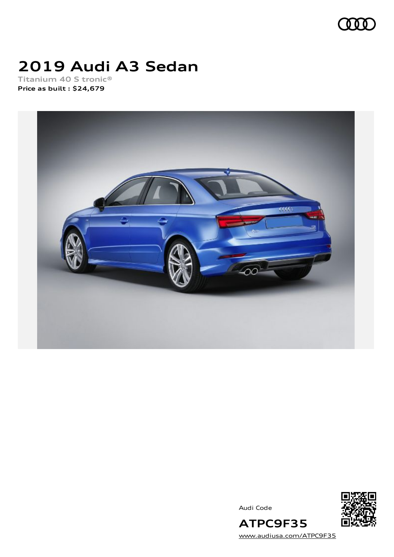

# **2019 Audi A3 Sedan**

**Titanium 40 S tronic® Price as built [:](#page-10-0) \$24,679**



Audi Code



[www.audiusa.com/ATPC9F35](https://www.audiusa.com/ATPC9F35)

**ATPC9F35**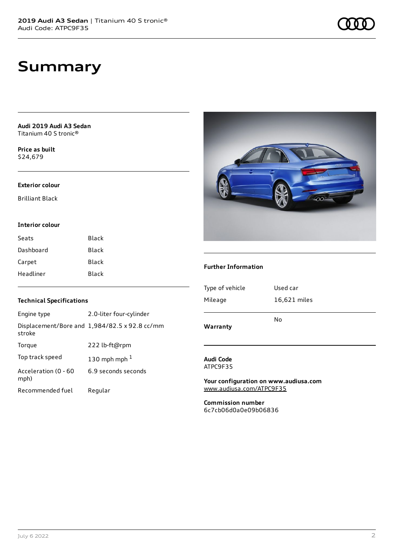# **Summary**

**Audi 2019 Audi A3 Sedan** Titanium 40 S tronic®

**Price as buil[t](#page-10-0)** \$24,679

#### **Exterior colour**

Brilliant Black

#### **Interior colour**

| Seats     | Black |
|-----------|-------|
| Dashboard | Black |
| Carpet    | Black |
| Headliner | Black |

### **Technical Specifications**

| Engine type                  | 2.0-liter four-cylinder                       |
|------------------------------|-----------------------------------------------|
| stroke                       | Displacement/Bore and 1,984/82.5 x 92.8 cc/mm |
| Torque                       | 222 lb-ft@rpm                                 |
| Top track speed              | 130 mph mph $1$                               |
| Acceleration (0 - 60<br>mph) | 6.9 seconds seconds                           |
| Recommended fuel             | Regular                                       |



#### **Further Information**

| Warranty        | No           |
|-----------------|--------------|
| Mileage         | 16,621 miles |
| Type of vehicle | Used car     |
|                 |              |

#### **Audi Code** ATPC9F35

**Your configuration on www.audiusa.com** [www.audiusa.com/ATPC9F35](https://www.audiusa.com/ATPC9F35)

**Commission number** 6c7cb06d0a0e09b06836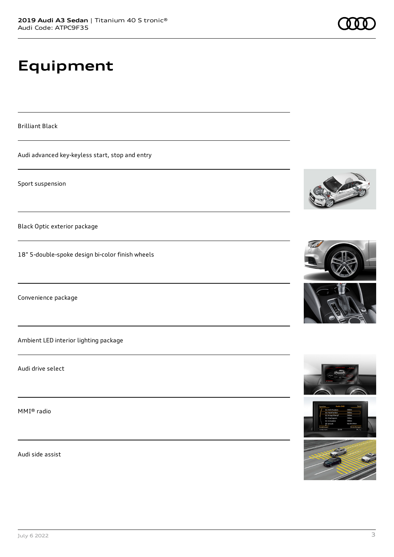# **Equipment**

Brilliant Black

Audi advanced key-keyless start, stop and entry

Sport suspension

Black Optic exterior package

18" 5-double-spoke design bi-color finish wheels

Convenience package

Ambient LED interior lighting package

Audi drive select

MMI® radio

Audi side assist











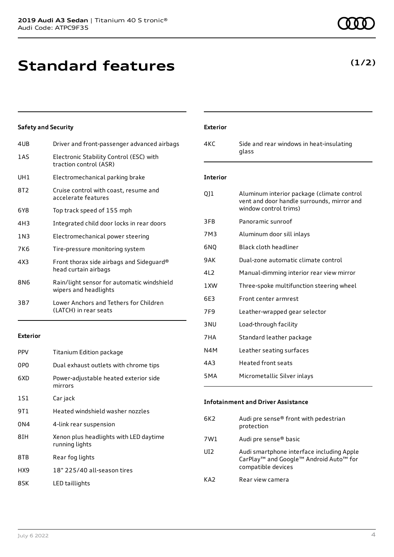**Standard features**

| 4UB             | Driver and front-passenger advanced airbags                         |
|-----------------|---------------------------------------------------------------------|
| 1AS             | Electronic Stability Control (ESC) with<br>traction control (ASR)   |
| UH1             | Electromechanical parking brake                                     |
| 8T2             | Cruise control with coast, resume and<br>accelerate features        |
| 6Y8             | Top track speed of 155 mph                                          |
| 4H3             | Integrated child door locks in rear doors                           |
| 1 N 3           | Electromechanical power steering                                    |
| 7K6             | Tire-pressure monitoring system                                     |
| 4X3             | Front thorax side airbags and Sideguard®<br>head curtain airbags    |
| 8N <sub>6</sub> | Rain/light sensor for automatic windshield<br>wipers and headlights |
| 3B7             | Lower Anchors and Tethers for Children<br>(LATCH) in rear seats     |

**Exterior**

| <b>PPV</b> | Titanium Edition package                                 |
|------------|----------------------------------------------------------|
| 0PO        | Dual exhaust outlets with chrome tips                    |
| 6XD        | Power-adjustable heated exterior side<br>mirrors         |
| 1S1        | Car jack                                                 |
| 9T 1       | Heated windshield washer nozzles                         |
| 0N4        | 4-link rear suspension                                   |
| 8IH        | Xenon plus headlights with LED daytime<br>running lights |
| 8TB        | Rear fog lights                                          |
| HX9        | 18" 225/40 all-season tires                              |
| 8SK        | LED taillights                                           |

| Exterior |
|----------|
| 4KC      |
|          |

### **Interior**

glass

| QJ1              | Aluminum interior package (climate control<br>vent and door handle surrounds, mirror and<br>window control trims) |
|------------------|-------------------------------------------------------------------------------------------------------------------|
| 3FB              | Panoramic sunroof                                                                                                 |
| 7M3              | Aluminum door sill inlays                                                                                         |
| 6NO              | Black cloth headliner                                                                                             |
| 9 A K            | Dual-zone automatic climate control                                                                               |
| 412              | Manual-dimming interior rear view mirror                                                                          |
| 1 XW             | Three-spoke multifunction steering wheel                                                                          |
| 6F3              | Front center armrest                                                                                              |
| 7F9              | Leather-wrapped gear selector                                                                                     |
| 3 NU             | Load-through facility                                                                                             |
| 7HA              | Standard leather package                                                                                          |
| N4M              | Leather seating surfaces                                                                                          |
| 4A3              | <b>Heated front seats</b>                                                                                         |
| 5 <sub>M</sub> A | Micrometallic Silver inlays                                                                                       |

Side and rear windows in heat-insulating

### **Infotainment and Driver Assistance**

| 6K2 | Audi pre sense® front with pedestrian<br>protection                                                                                           |
|-----|-----------------------------------------------------------------------------------------------------------------------------------------------|
| 7W1 | Audi pre sense <sup>®</sup> basic                                                                                                             |
| UI2 | Audi smartphone interface including Apple<br>CarPlay <sup>™</sup> and Google <sup>™</sup> Android Auto <sup>™</sup> for<br>compatible devices |
| KA2 | Rear view camera                                                                                                                              |

## **(1/2)**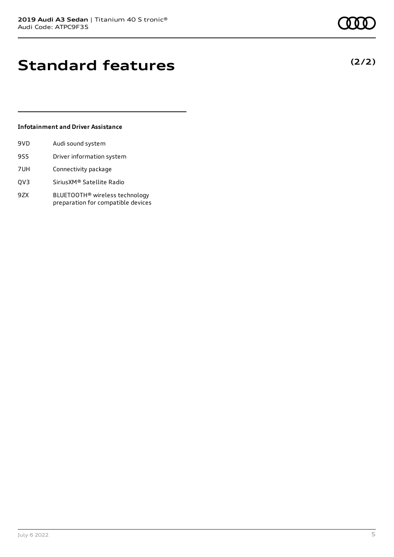# **Standard features**

### **Infotainment and Driver Assistance**

| 9VD. | Audi sound system         |
|------|---------------------------|
| 9S5  | Driver information system |
| 7UH  | Connectivity package      |

- QV3 SiriusXM® Satellite Radio
- 9ZX BLUETOOTH® wireless technology preparation for compatible devices

**(2/2)**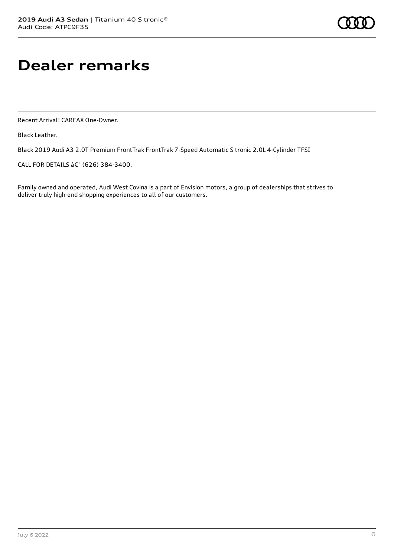# **Dealer remarks**

Recent Arrival! CARFAX One-Owner.

Black Leather.

Black 2019 Audi A3 2.0T Premium FrontTrak FrontTrak 7-Speed Automatic S tronic 2.0L 4-Cylinder TFSI

CALL FOR DETAILS â€" (626) 384-3400.

Family owned and operated, Audi West Covina is a part of Envision motors, a group of dealerships that strives to deliver truly high-end shopping experiences to all of our customers.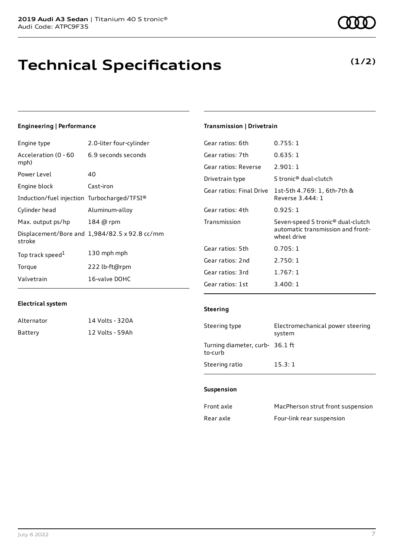# **Technical Specifications**

### **Engineering | Performance**

| Engine type                                 | 2.0-liter four-cylinder                       |
|---------------------------------------------|-----------------------------------------------|
| Acceleration (0 - 60<br>mph)                | 6.9 seconds seconds                           |
| Power Level                                 | 40                                            |
| Engine block                                | Cast-iron                                     |
| Induction/fuel injection Turbocharged/TFSI® |                                               |
| Cylinder head                               | Aluminum-alloy                                |
| Max. output ps/hp                           | 184 @ rpm                                     |
| stroke                                      | Displacement/Bore and 1,984/82.5 x 92.8 cc/mm |
| Top track speed <sup>1</sup>                | 130 mph mph                                   |
| Torque                                      | 222 lb-ft@rpm                                 |
| Valvetrain                                  | 16-valve DOHC                                 |

### **Transmission | Drivetrain**

| Gear ratios: 6th         | 0.755:1                                                                               |
|--------------------------|---------------------------------------------------------------------------------------|
| Gear ratios: 7th         | 0.635:1                                                                               |
| Gear ratios: Reverse     | 2.901:1                                                                               |
| Drivetrain type          | S tronic® dual-clutch                                                                 |
| Gear ratios: Final Drive | 1st-5th 4.769: 1, 6th-7th &<br>Reverse 3.444: 1                                       |
| Gear ratios: 4th         | 0.925:1                                                                               |
| Transmission             | Seven-speed S tronic® dual-clutch<br>automatic transmission and front-<br>wheel drive |
| Gear ratios: 5th         | 0.705:1                                                                               |
| Gear ratios: 2nd         | 2.750:1                                                                               |
| Gear ratios: 3rd         | 1.767:1                                                                               |
| Gear ratios: 1st         | 3.400:1                                                                               |

#### **Electrical system**

| Alternator | 14 Volts - 320A |
|------------|-----------------|
| Battery    | 12 Volts - 59Ah |

### **Steering**

| Steering type                              | Electromechanical power steering<br>system |
|--------------------------------------------|--------------------------------------------|
| Turning diameter, curb- 36.1 ft<br>to-curb |                                            |
| Steering ratio                             | 15.3:1                                     |

#### **Suspension**

| Front axle | MacPherson strut front suspension |
|------------|-----------------------------------|
| Rear axle  | Four-link rear suspension         |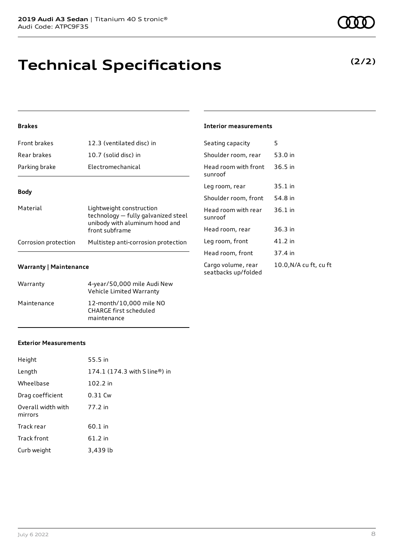# **Technical Specifications**

### **Brakes**

| Front brakes         | 12.3 (ventilated disc) in                                                                                           |  |  |
|----------------------|---------------------------------------------------------------------------------------------------------------------|--|--|
| Rear brakes          | 10.7 (solid disc) in                                                                                                |  |  |
| Parking brake        | Electromechanical                                                                                                   |  |  |
| <b>Body</b>          |                                                                                                                     |  |  |
| Material             | Lightweight construction<br>technology - fully galvanized steel<br>unibody with aluminum hood and<br>front subframe |  |  |
| Corrosion protection | Multistep anti-corrosion protection                                                                                 |  |  |

#### **Warranty | Maintenance**

| Warranty    | 4-year/50,000 mile Audi New<br>Vehicle Limited Warranty                 |
|-------------|-------------------------------------------------------------------------|
| Maintenance | 12-month/10,000 mile NO<br><b>CHARGE first scheduled</b><br>maintenance |

#### **Interior measurements**

| Seating capacity                          | 5                      |
|-------------------------------------------|------------------------|
| Shoulder room, rear                       | 53.0 in                |
| Head room with front<br>sunroof           | $36.5$ in              |
| Leg room, rear                            | 35.1 in                |
| Shoulder room, front                      | 54.8 in                |
| Head room with rear<br>sunroof            | 36.1 in                |
| Head room, rear                           | $36.3$ in              |
| Leg room, front                           | 41.2 in                |
| Head room, front                          | 37.4 in                |
| Cargo volume, rear<br>seatbacks up/folded | 10.0, N/A cu ft, cu ft |

### **Exterior Measurements**

| Height                        | 55.5 in                       |
|-------------------------------|-------------------------------|
| Length                        | 174.1 (174.3 with S line®) in |
| Wheelbase                     | 102.2 in                      |
| Drag coefficient              | 0.31 Cw                       |
| Overall width with<br>mirrors | 77.2 in                       |
| Track rear                    | 60.1 in                       |
| <b>Track front</b>            | 61.2 in                       |
| Curb weight                   | 3,439 lb                      |

**(2/2)**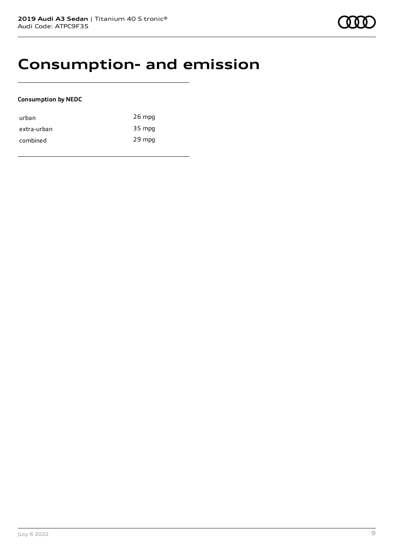# **Consumption- and emission**

### **Consumption by NEDC**

| urban       | $26$ mpg |
|-------------|----------|
| extra-urban | 35 mpg   |
| combined    | 29 mpg   |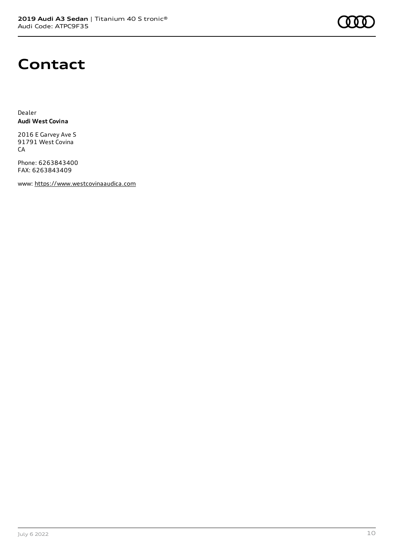

# **Contact**

Dealer **Audi West Covina**

2016 E Garvey Ave S 91791 West Covina CA

Phone: 6263843400 FAX: 6263843409

www: [https://www.westcovinaaudica.com](https://www.westcovinaaudica.com/)